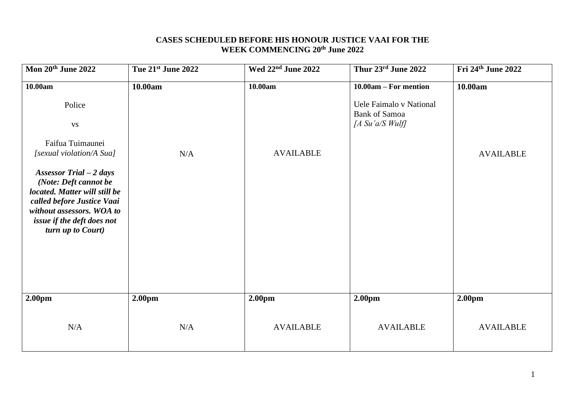#### **CASES SCHEDULED BEFORE HIS HONOUR JUSTICE VAAI FOR THE WEEK COMMENCING 20th June 2022**

| Mon 20th June 2022                                                                                                                                                                                                                                                                       | Tue 21st June 2022        | Wed 22 <sup>nd</sup> June 2022         | Thur 23rd June 2022                                                                           | Fri 24th June 2022                     |
|------------------------------------------------------------------------------------------------------------------------------------------------------------------------------------------------------------------------------------------------------------------------------------------|---------------------------|----------------------------------------|-----------------------------------------------------------------------------------------------|----------------------------------------|
| 10.00am<br>Police<br><b>VS</b><br>Faifua Tuimaunei<br>[sexual violation/A Sua]<br><b>Assessor Trial - 2 days</b><br>(Note: Deft cannot be<br>located. Matter will still be<br>called before Justice Vaai<br>without assessors. WOA to<br>issue if the deft does not<br>turn up to Court) | 10.00am<br>N/A            | 10.00am<br><b>AVAILABLE</b>            | 10.00am - For mention<br>Uele Faimalo v National<br><b>Bank of Samoa</b><br>[A S u' a/S W u!] | 10.00am<br><b>AVAILABLE</b>            |
| 2.00 <sub>pm</sub><br>N/A                                                                                                                                                                                                                                                                | 2.00 <sub>pm</sub><br>N/A | 2.00 <sub>pm</sub><br><b>AVAILABLE</b> | 2.00 <sub>pm</sub><br><b>AVAILABLE</b>                                                        | 2.00 <sub>pm</sub><br><b>AVAILABLE</b> |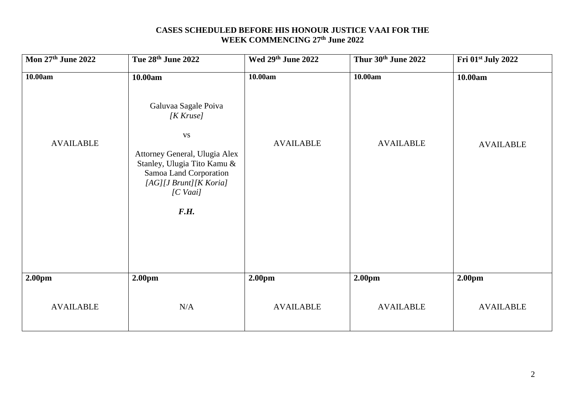### **CASES SCHEDULED BEFORE HIS HONOUR JUSTICE VAAI FOR THE WEEK COMMENCING 27th June 2022**

| Mon 27th June 2022          | Tue 28th June 2022                                                                                                                                                                                               | Wed 29th June 2022          | Thur 30th June 2022                    | Fri 01st July 2022          |
|-----------------------------|------------------------------------------------------------------------------------------------------------------------------------------------------------------------------------------------------------------|-----------------------------|----------------------------------------|-----------------------------|
| 10.00am<br><b>AVAILABLE</b> | 10.00am<br>Galuvaa Sagale Poiva<br>$[K$ Kruse]<br>$\mathbf{V}\mathbf{S}$<br>Attorney General, Ulugia Alex<br>Stanley, Ulugia Tito Kamu &<br>Samoa Land Corporation<br>[AG][J Brunt][K Koria]<br>[C Vaai]<br>F.H. | 10.00am<br><b>AVAILABLE</b> | 10.00am<br><b>AVAILABLE</b>            | 10.00am<br><b>AVAILABLE</b> |
| 2.00pm<br><b>AVAILABLE</b>  | 2.00pm<br>N/A                                                                                                                                                                                                    | 2.00pm<br><b>AVAILABLE</b>  | 2.00 <sub>pm</sub><br><b>AVAILABLE</b> | 2.00pm<br><b>AVAILABLE</b>  |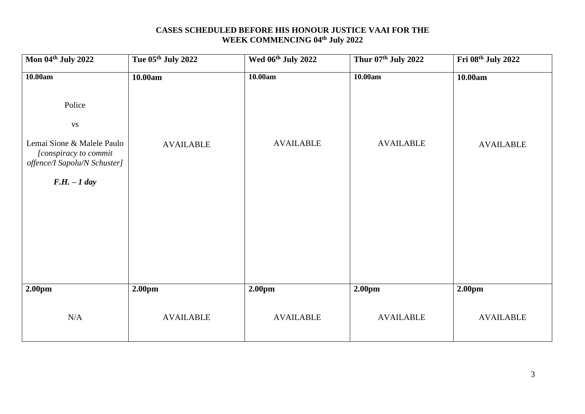# **CASES SCHEDULED BEFORE HIS HONOUR JUSTICE VAAI FOR THE WEEK COMMENCING 04th July 2022**

| Mon 04th July 2022                                                                  | Tue 05th July 2022 | Wed 06th July 2022 | Thur 07th July 2022 | Fri 08th July 2022 |
|-------------------------------------------------------------------------------------|--------------------|--------------------|---------------------|--------------------|
| 10.00am                                                                             | 10.00am            | 10.00am            | 10.00am             | 10.00am            |
| Police                                                                              |                    |                    |                     |                    |
| $_{\rm VS}$                                                                         |                    |                    |                     |                    |
| Lemai Sione & Malele Paulo<br>[conspiracy to commit<br>offence/I Sapolu/N Schuster] | <b>AVAILABLE</b>   | <b>AVAILABLE</b>   | <b>AVAILABLE</b>    | <b>AVAILABLE</b>   |
| $F.H. - 1 day$                                                                      |                    |                    |                     |                    |
|                                                                                     |                    |                    |                     |                    |
|                                                                                     |                    |                    |                     |                    |
|                                                                                     |                    |                    |                     |                    |
|                                                                                     |                    |                    |                     |                    |
|                                                                                     |                    |                    |                     |                    |
| 2.00pm                                                                              | 2.00pm             | 2.00pm             | 2.00pm              | 2.00pm             |
| N/A                                                                                 | <b>AVAILABLE</b>   | <b>AVAILABLE</b>   | <b>AVAILABLE</b>    | <b>AVAILABLE</b>   |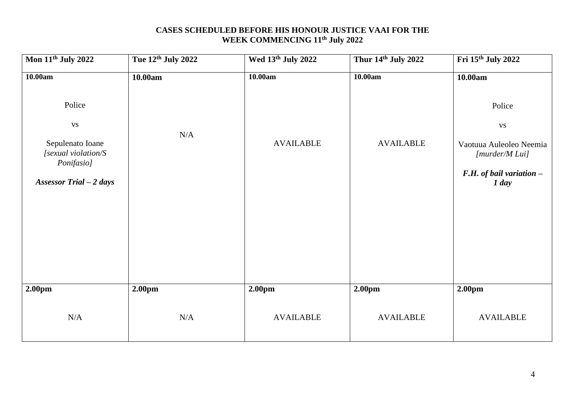# **CASES SCHEDULED BEFORE HIS HONOUR JUSTICE VAAI FOR THE WEEK COMMENCING 11th July 2022**

| Mon 11 <sup>th</sup> July 2022                                                                                        | Tue 12th July 2022 | Wed 13th July 2022 | Thur 14th July 2022 | Fri 15th July 2022                                                                                            |
|-----------------------------------------------------------------------------------------------------------------------|--------------------|--------------------|---------------------|---------------------------------------------------------------------------------------------------------------|
| 10.00am                                                                                                               | 10.00am            | 10.00am            | 10.00am             | 10.00am                                                                                                       |
| Police<br>$\mathbf{V}\mathbf{S}$<br>Sepulenato Ioane<br>[sexual violation/S<br>Ponifasio]<br>Assessor Trial $-2$ days | N/A                | <b>AVAILABLE</b>   | <b>AVAILABLE</b>    | Police<br>$_{\rm VS}$<br>Vaotuua Auleoleo Neemia<br>[murder/M Lui]<br>$F.H.$ of bail variation $-$<br>$1$ day |
| 2.00pm                                                                                                                | 2.00pm             | 2.00pm             | 2.00pm              | 2.00pm                                                                                                        |
| N/A                                                                                                                   | N/A                | <b>AVAILABLE</b>   | <b>AVAILABLE</b>    | <b>AVAILABLE</b>                                                                                              |